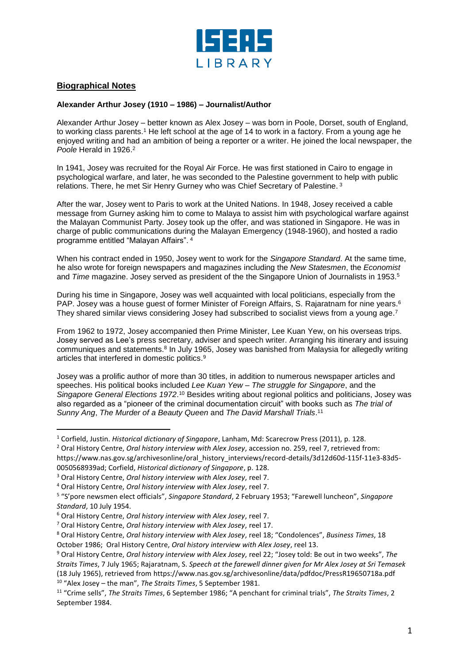

## **Biographical Notes**

l

## **Alexander Arthur Josey (1910 – 1986) – Journalist/Author**

Alexander Arthur Josey – better known as Alex Josey – was born in Poole, Dorset, south of England, to working class parents.<sup>1</sup> He left school at the age of 14 to work in a factory. From a young age he enjoyed writing and had an ambition of being a reporter or a writer. He joined the local newspaper, the Poole Herald in 1926.<sup>2</sup>

In 1941, Josey was recruited for the Royal Air Force. He was first stationed in Cairo to engage in psychological warfare, and later, he was seconded to the Palestine government to help with public relations. There, he met Sir Henry Gurney who was Chief Secretary of Palestine. 3

After the war, Josey went to Paris to work at the United Nations. In 1948, Josey received a cable message from Gurney asking him to come to Malaya to assist him with psychological warfare against the Malayan Communist Party. Josey took up the offer, and was stationed in Singapore. He was in charge of public communications during the Malayan Emergency (1948-1960), and hosted a radio programme entitled "Malayan Affairs". <sup>4</sup>

When his contract ended in 1950, Josey went to work for the *Singapore Standard*. At the same time, he also wrote for foreign newspapers and magazines including the *New Statesmen*, the *Economist* and *Time* magazine. Josey served as president of the the Singapore Union of Journalists in 1953. 5

During his time in Singapore, Josey was well acquainted with local politicians, especially from the PAP. Josey was a house guest of former Minister of Foreign Affairs, S. Rajaratnam for nine years.<sup>6</sup> They shared similar views considering Josey had subscribed to socialist views from a young age.<sup>7</sup>

From 1962 to 1972, Josey accompanied then Prime Minister, Lee Kuan Yew, on his overseas trips. Josey served as Lee's press secretary, adviser and speech writer. Arranging his itinerary and issuing communiques and statements.<sup>8</sup> In July 1965, Josey was banished from Malaysia for allegedly writing articles that interfered in domestic politics. 9

Josey was a prolific author of more than 30 titles, in addition to numerous newspaper articles and speeches. His political books included *Lee Kuan Yew* – *The struggle for Singapore*, and the Singapore General Elections 1972.<sup>10</sup> Besides writing about regional politics and politicians, Josey was also regarded as a "pioneer of the criminal documentation circuit" with books such as *The trial of Sunny Ang*, *The Murder of a Beauty Queen* and *The David Marshall Trials*. 11

<sup>2</sup> Oral History Centre, *Oral history interview with Alex Josey*, accession no. 259, reel 7, retrieved from: https://www.nas.gov.sg/archivesonline/oral\_history\_interviews/record-details/3d12d60d-115f-11e3-83d5-0050568939ad; Corfield, *Historical dictionary of Singapore*, p. 128.

<sup>4</sup> Oral History Centre, *Oral history interview with Alex Josey*, reel 7.

<sup>1</sup> Corfield, Justin. *Historical dictionary of Singapore*, Lanham, Md: Scarecrow Press (2011), p. 128.

<sup>3</sup> Oral History Centre, *Oral history interview with Alex Josey*, reel 7.

<sup>5</sup> "S'pore newsmen elect officials", *Singapore Standard*, 2 February 1953; "Farewell luncheon", *Singapore Standard*, 10 July 1954.

<sup>6</sup> Oral History Centre, *Oral history interview with Alex Josey*, reel 7.

<sup>7</sup> Oral History Centre, *Oral history interview with Alex Josey*, reel 17.

<sup>8</sup> Oral History Centre, *Oral history interview with Alex Josey*, reel 18; "Condolences", *Business Times*, 18 October 1986; Oral History Centre, *Oral history interview with Alex Josey*, reel 13.

<sup>9</sup> Oral History Centre, *Oral history interview with Alex Josey*, reel 22; "Josey told: Be out in two weeks", *The Straits Times*, 7 July 1965; Rajaratnam, S. *Speech at the farewell dinner given for Mr Alex Josey at Sri Temasek* (18 July 1965), retrieved from https://www.nas.gov.sg/archivesonline/data/pdfdoc/PressR19650718a.pdf <sup>10</sup> "Alex Josey – the man", *The Straits Times*, 5 September 1981.

<sup>11</sup> "Crime sells", *The Straits Times*, 6 September 1986; "A penchant for criminal trials", *The Straits Times*, 2 September 1984.